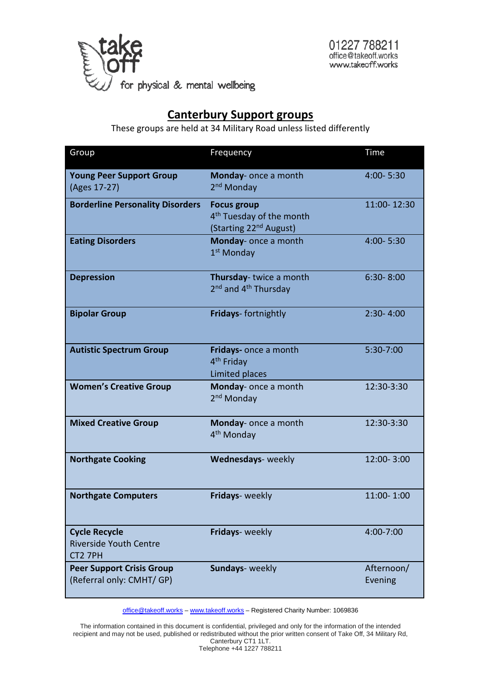

# **Canterbury Support groups**

These groups are held at 34 Military Road unless listed differently

| Group                                                            | Frequency                                                                                        | Time                  |
|------------------------------------------------------------------|--------------------------------------------------------------------------------------------------|-----------------------|
| <b>Young Peer Support Group</b><br>(Ages 17-27)                  | Monday- once a month<br>2 <sup>nd</sup> Monday                                                   | $4:00 - 5:30$         |
| <b>Borderline Personality Disorders</b>                          | <b>Focus group</b><br>4 <sup>th</sup> Tuesday of the month<br>(Starting 22 <sup>nd</sup> August) | 11:00-12:30           |
| <b>Eating Disorders</b>                                          | Monday- once a month<br>1 <sup>st</sup> Monday                                                   | 4:00-5:30             |
| <b>Depression</b>                                                | Thursday-twice a month<br>2 <sup>nd</sup> and 4 <sup>th</sup> Thursday                           | $6:30 - 8:00$         |
| <b>Bipolar Group</b>                                             | Fridays-fortnightly                                                                              | $2:30 - 4:00$         |
| <b>Autistic Spectrum Group</b>                                   | Fridays- once a month<br>4 <sup>th</sup> Friday<br>Limited places                                | 5:30-7:00             |
| <b>Women's Creative Group</b>                                    | Monday- once a month<br>2 <sup>nd</sup> Monday                                                   | 12:30-3:30            |
| <b>Mixed Creative Group</b>                                      | Monday- once a month<br>4 <sup>th</sup> Monday                                                   | 12:30-3:30            |
| <b>Northgate Cooking</b>                                         | Wednesdays- weekly                                                                               | 12:00-3:00            |
| <b>Northgate Computers</b>                                       | Fridays- weekly                                                                                  | 11:00-1:00            |
| <b>Cycle Recycle</b><br><b>Riverside Youth Centre</b><br>CT2 7PH | Fridays- weekly                                                                                  | 4:00-7:00             |
| <b>Peer Support Crisis Group</b><br>(Referral only: CMHT/ GP)    | Sundays- weekly                                                                                  | Afternoon/<br>Evening |

[office@takeoff.works](mailto:office@takeoff.works) - [www.takeoff.works](http://www.takeoff.works/) - Registered Charity Number: 1069836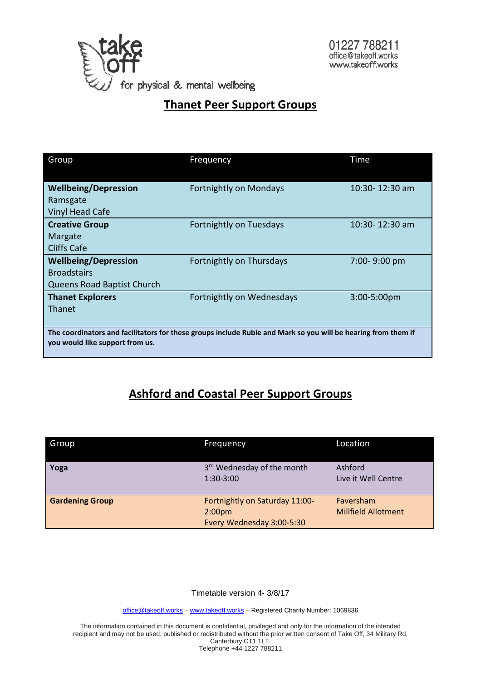

### **Thanet Peer Support Groups**

| Group                                                                                                                                            | Frequency                     | Time               |  |  |
|--------------------------------------------------------------------------------------------------------------------------------------------------|-------------------------------|--------------------|--|--|
| <b>Wellbeing/Depression</b><br>Ramsgate<br><b>Vinyl Head Cafe</b>                                                                                | <b>Fortnightly on Mondays</b> | 10:30-12:30 am     |  |  |
| <b>Creative Group</b><br>Margate<br>Cliffs Cafe                                                                                                  | Fortnightly on Tuesdays       | $10:30 - 12:30$ am |  |  |
| <b>Wellbeing/Depression</b><br><b>Broadstairs</b><br><b>Queens Road Baptist Church</b>                                                           | Fortnightly on Thursdays      | 7:00-9:00 pm       |  |  |
| <b>Thanet Explorers</b><br>Thanet                                                                                                                | Fortnightly on Wednesdays     | $3:00 - 5:00$ pm   |  |  |
| The coordinators and facilitators for these groups include Rubie and Mark so you will be hearing from them if<br>you would like support from us. |                               |                    |  |  |

## **Ashford and Coastal Peer Support Groups**

| <b>Group</b>           | Frequency                                                                         | Location                                |
|------------------------|-----------------------------------------------------------------------------------|-----------------------------------------|
| Yoga                   | 3 <sup>rd</sup> Wednesday of the month<br>1:30-3:00                               | Ashford<br>Live it Well Centre          |
| <b>Gardening Group</b> | Fortnightly on Saturday 11:00-<br>2:00 <sub>pm</sub><br>Every Wednesday 3:00-5:30 | Faversham<br><b>Millfield Allotment</b> |

Timetable version 4- 3/8/17

[office@takeoff.works](mailto:office@takeoff.works) - [www.takeoff.works](http://www.takeoff.works/) - Registered Charity Number: 1069836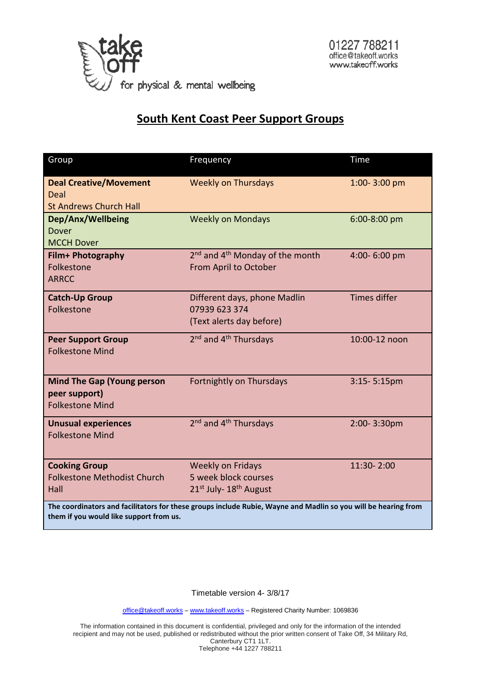

#### **South Kent Coast Peer Support Groups**

| Group                                                                                                          | Frequency                                               | Time                |  |  |
|----------------------------------------------------------------------------------------------------------------|---------------------------------------------------------|---------------------|--|--|
| <b>Deal Creative/Movement</b>                                                                                  | <b>Weekly on Thursdays</b>                              | 1:00-3:00 pm        |  |  |
| Deal<br><b>St Andrews Church Hall</b>                                                                          |                                                         |                     |  |  |
| Dep/Anx/Wellbeing                                                                                              | <b>Weekly on Mondays</b>                                | 6:00-8:00 pm        |  |  |
| <b>Dover</b>                                                                                                   |                                                         |                     |  |  |
| <b>MCCH Dover</b>                                                                                              |                                                         |                     |  |  |
| Film+ Photography                                                                                              | 2 <sup>nd</sup> and 4 <sup>th</sup> Monday of the month | 4:00-6:00 pm        |  |  |
| Folkestone                                                                                                     | From April to October                                   |                     |  |  |
| <b>ARRCC</b>                                                                                                   |                                                         |                     |  |  |
| <b>Catch-Up Group</b>                                                                                          | Different days, phone Madlin                            | <b>Times differ</b> |  |  |
| Folkestone                                                                                                     | 07939 623 374                                           |                     |  |  |
|                                                                                                                | (Text alerts day before)                                |                     |  |  |
| <b>Peer Support Group</b>                                                                                      | $2nd$ and $4th$ Thursdays                               | 10:00-12 noon       |  |  |
| <b>Folkestone Mind</b>                                                                                         |                                                         |                     |  |  |
|                                                                                                                |                                                         |                     |  |  |
| <b>Mind The Gap (Young person</b>                                                                              | Fortnightly on Thursdays                                | $3:15 - 5:15$ pm    |  |  |
| peer support)                                                                                                  |                                                         |                     |  |  |
| <b>Folkestone Mind</b>                                                                                         |                                                         |                     |  |  |
| <b>Unusual experiences</b>                                                                                     | 2 <sup>nd</sup> and 4 <sup>th</sup> Thursdays           | 2:00-3:30pm         |  |  |
| <b>Folkestone Mind</b>                                                                                         |                                                         |                     |  |  |
|                                                                                                                |                                                         |                     |  |  |
| <b>Cooking Group</b>                                                                                           | <b>Weekly on Fridays</b>                                | 11:30-2:00          |  |  |
| <b>Folkestone Methodist Church</b>                                                                             | 5 week block courses                                    |                     |  |  |
| Hall                                                                                                           | 21st July-18th August                                   |                     |  |  |
| The coordinators and facilitators for these groups include Rubie, Wayne and Madlin so you will be hearing from |                                                         |                     |  |  |
| them if you would like support from us.                                                                        |                                                         |                     |  |  |

Timetable version 4- 3/8/17

[office@takeoff.works](mailto:office@takeoff.works) - [www.takeoff.works](http://www.takeoff.works/) - Registered Charity Number: 1069836